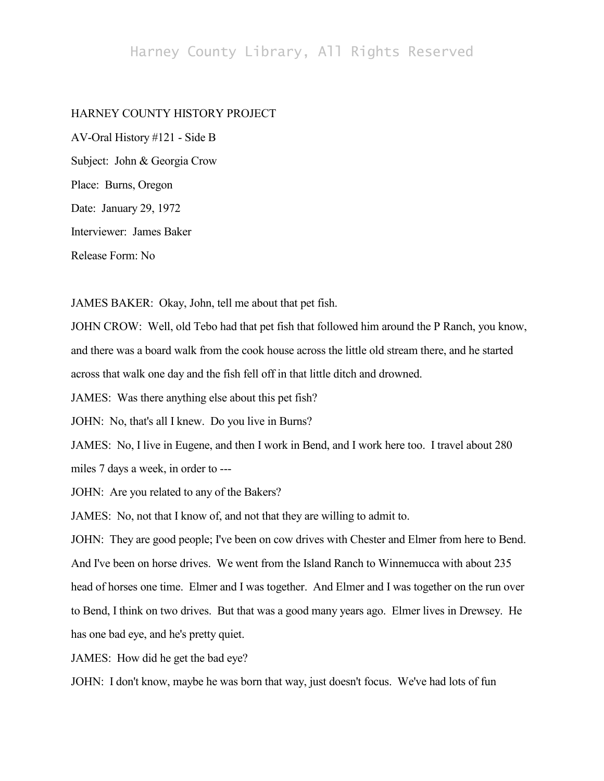## Harney County Library, All Rights Reserved

## HARNEY COUNTY HISTORY PROJECT

AV-Oral History #121 - Side B Subject: John & Georgia Crow Place: Burns, Oregon Date: January 29, 1972 Interviewer: James Baker Release Form: No

JAMES BAKER: Okay, John, tell me about that pet fish.

JOHN CROW: Well, old Tebo had that pet fish that followed him around the P Ranch, you know, and there was a board walk from the cook house across the little old stream there, and he started across that walk one day and the fish fell off in that little ditch and drowned.

JAMES: Was there anything else about this pet fish?

JOHN: No, that's all I knew. Do you live in Burns?

JAMES: No, I live in Eugene, and then I work in Bend, and I work here too. I travel about 280 miles 7 days a week, in order to ---

JOHN: Are you related to any of the Bakers?

JAMES: No, not that I know of, and not that they are willing to admit to.

JOHN: They are good people; I've been on cow drives with Chester and Elmer from here to Bend. And I've been on horse drives. We went from the Island Ranch to Winnemucca with about 235 head of horses one time. Elmer and I was together. And Elmer and I was together on the run over to Bend, I think on two drives. But that was a good many years ago. Elmer lives in Drewsey. He has one bad eye, and he's pretty quiet.

JAMES: How did he get the bad eye?

JOHN: I don't know, maybe he was born that way, just doesn't focus. We've had lots of fun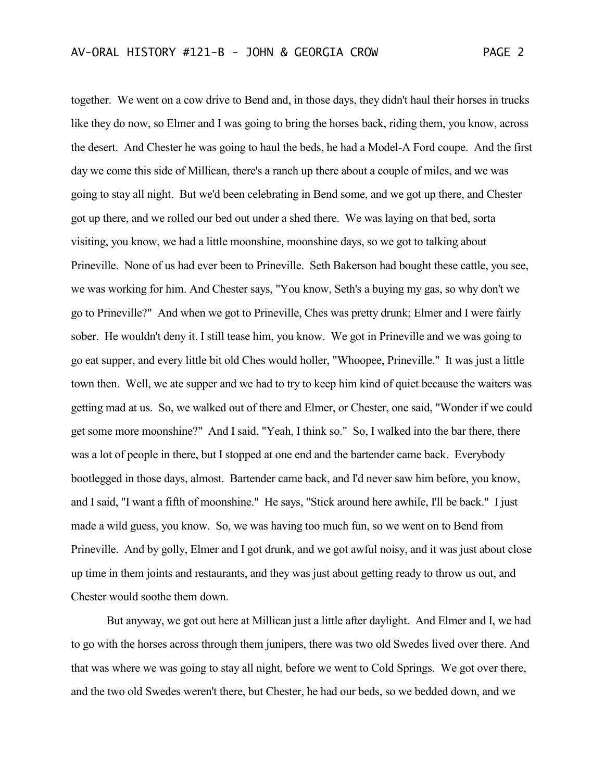together. We went on a cow drive to Bend and, in those days, they didn't haul their horses in trucks like they do now, so Elmer and I was going to bring the horses back, riding them, you know, across the desert. And Chester he was going to haul the beds, he had a Model-A Ford coupe. And the first day we come this side of Millican, there's a ranch up there about a couple of miles, and we was going to stay all night. But we'd been celebrating in Bend some, and we got up there, and Chester got up there, and we rolled our bed out under a shed there. We was laying on that bed, sorta visiting, you know, we had a little moonshine, moonshine days, so we got to talking about Prineville. None of us had ever been to Prineville. Seth Bakerson had bought these cattle, you see, we was working for him. And Chester says, "You know, Seth's a buying my gas, so why don't we go to Prineville?" And when we got to Prineville, Ches was pretty drunk; Elmer and I were fairly sober. He wouldn't deny it. I still tease him, you know. We got in Prineville and we was going to go eat supper, and every little bit old Ches would holler, "Whoopee, Prineville." It was just a little town then. Well, we ate supper and we had to try to keep him kind of quiet because the waiters was getting mad at us. So, we walked out of there and Elmer, or Chester, one said, "Wonder if we could get some more moonshine?" And I said, "Yeah, I think so." So, I walked into the bar there, there was a lot of people in there, but I stopped at one end and the bartender came back. Everybody bootlegged in those days, almost. Bartender came back, and I'd never saw him before, you know, and I said, "I want a fifth of moonshine." He says, "Stick around here awhile, I'll be back." I just made a wild guess, you know. So, we was having too much fun, so we went on to Bend from Prineville. And by golly, Elmer and I got drunk, and we got awful noisy, and it was just about close up time in them joints and restaurants, and they was just about getting ready to throw us out, and Chester would soothe them down.

But anyway, we got out here at Millican just a little after daylight. And Elmer and I, we had to go with the horses across through them junipers, there was two old Swedes lived over there. And that was where we was going to stay all night, before we went to Cold Springs. We got over there, and the two old Swedes weren't there, but Chester, he had our beds, so we bedded down, and we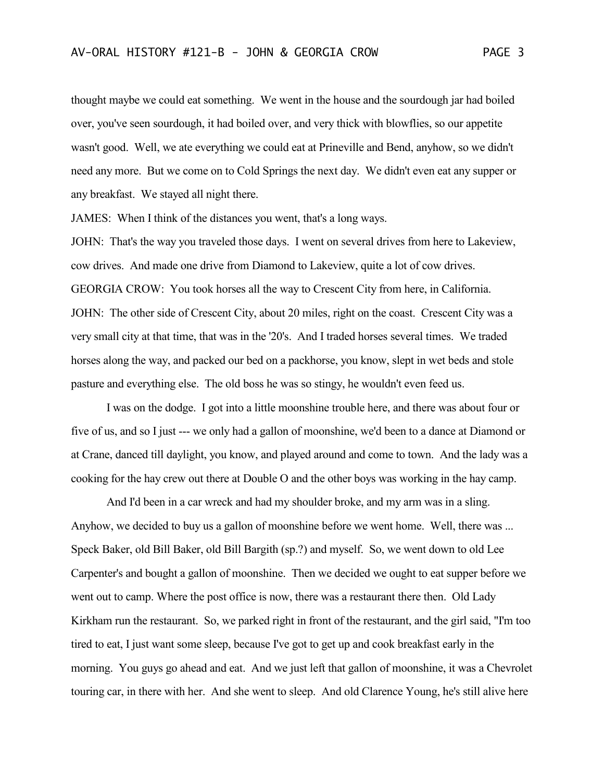thought maybe we could eat something. We went in the house and the sourdough jar had boiled over, you've seen sourdough, it had boiled over, and very thick with blowflies, so our appetite wasn't good. Well, we ate everything we could eat at Prineville and Bend, anyhow, so we didn't need any more. But we come on to Cold Springs the next day. We didn't even eat any supper or any breakfast. We stayed all night there.

JAMES: When I think of the distances you went, that's a long ways.

JOHN: That's the way you traveled those days. I went on several drives from here to Lakeview, cow drives. And made one drive from Diamond to Lakeview, quite a lot of cow drives. GEORGIA CROW: You took horses all the way to Crescent City from here, in California. JOHN: The other side of Crescent City, about 20 miles, right on the coast. Crescent City was a very small city at that time, that was in the '20's. And I traded horses several times. We traded horses along the way, and packed our bed on a packhorse, you know, slept in wet beds and stole pasture and everything else. The old boss he was so stingy, he wouldn't even feed us.

I was on the dodge. I got into a little moonshine trouble here, and there was about four or five of us, and so I just --- we only had a gallon of moonshine, we'd been to a dance at Diamond or at Crane, danced till daylight, you know, and played around and come to town. And the lady was a cooking for the hay crew out there at Double O and the other boys was working in the hay camp.

And I'd been in a car wreck and had my shoulder broke, and my arm was in a sling. Anyhow, we decided to buy us a gallon of moonshine before we went home. Well, there was ... Speck Baker, old Bill Baker, old Bill Bargith (sp.?) and myself. So, we went down to old Lee Carpenter's and bought a gallon of moonshine. Then we decided we ought to eat supper before we went out to camp. Where the post office is now, there was a restaurant there then. Old Lady Kirkham run the restaurant. So, we parked right in front of the restaurant, and the girl said, "I'm too tired to eat, I just want some sleep, because I've got to get up and cook breakfast early in the morning. You guys go ahead and eat. And we just left that gallon of moonshine, it was a Chevrolet touring car, in there with her. And she went to sleep. And old Clarence Young, he's still alive here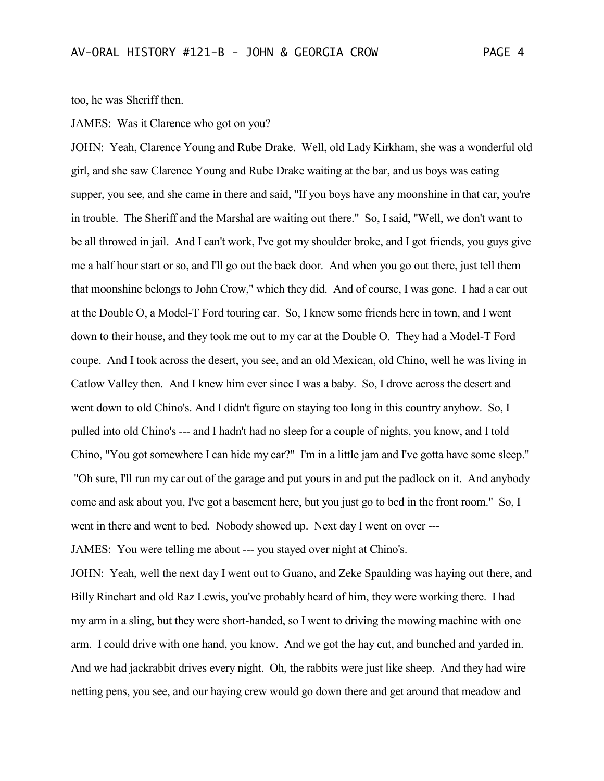too, he was Sheriff then.

JAMES: Was it Clarence who got on you?

JOHN: Yeah, Clarence Young and Rube Drake. Well, old Lady Kirkham, she was a wonderful old girl, and she saw Clarence Young and Rube Drake waiting at the bar, and us boys was eating supper, you see, and she came in there and said, "If you boys have any moonshine in that car, you're in trouble. The Sheriff and the Marshal are waiting out there." So, I said, "Well, we don't want to be all throwed in jail. And I can't work, I've got my shoulder broke, and I got friends, you guys give me a half hour start or so, and I'll go out the back door. And when you go out there, just tell them that moonshine belongs to John Crow," which they did. And of course, I was gone. I had a car out at the Double O, a Model-T Ford touring car. So, I knew some friends here in town, and I went down to their house, and they took me out to my car at the Double O. They had a Model-T Ford coupe. And I took across the desert, you see, and an old Mexican, old Chino, well he was living in Catlow Valley then. And I knew him ever since I was a baby. So, I drove across the desert and went down to old Chino's. And I didn't figure on staying too long in this country anyhow. So, I pulled into old Chino's --- and I hadn't had no sleep for a couple of nights, you know, and I told Chino, "You got somewhere I can hide my car?" I'm in a little jam and I've gotta have some sleep." "Oh sure, I'll run my car out of the garage and put yours in and put the padlock on it. And anybody come and ask about you, I've got a basement here, but you just go to bed in the front room." So, I went in there and went to bed. Nobody showed up. Next day I went on over ---

JAMES: You were telling me about --- you stayed over night at Chino's.

JOHN: Yeah, well the next day I went out to Guano, and Zeke Spaulding was haying out there, and Billy Rinehart and old Raz Lewis, you've probably heard of him, they were working there. I had my arm in a sling, but they were short-handed, so I went to driving the mowing machine with one arm. I could drive with one hand, you know. And we got the hay cut, and bunched and yarded in. And we had jackrabbit drives every night. Oh, the rabbits were just like sheep. And they had wire netting pens, you see, and our haying crew would go down there and get around that meadow and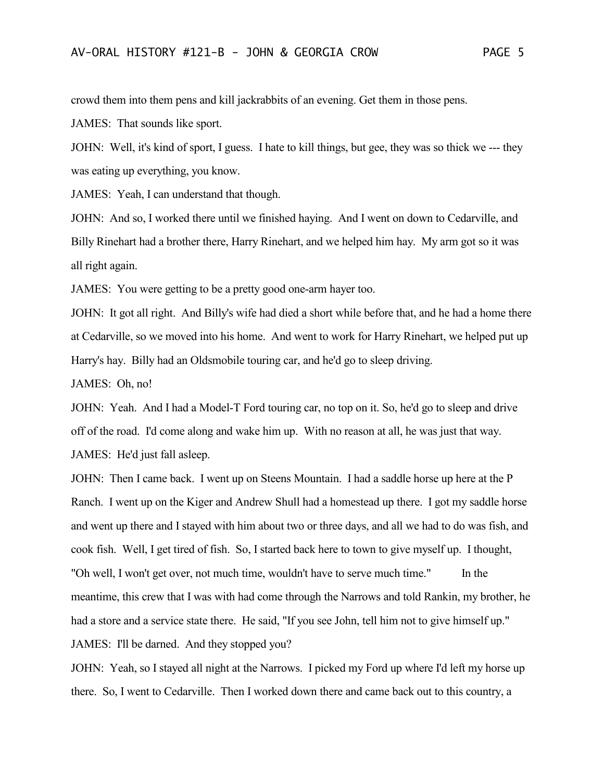crowd them into them pens and kill jackrabbits of an evening. Get them in those pens.

JAMES: That sounds like sport.

JOHN: Well, it's kind of sport, I guess. I hate to kill things, but gee, they was so thick we --- they was eating up everything, you know.

JAMES: Yeah, I can understand that though.

JOHN: And so, I worked there until we finished haying. And I went on down to Cedarville, and Billy Rinehart had a brother there, Harry Rinehart, and we helped him hay. My arm got so it was all right again.

JAMES: You were getting to be a pretty good one-arm hayer too.

JOHN: It got all right. And Billy's wife had died a short while before that, and he had a home there at Cedarville, so we moved into his home. And went to work for Harry Rinehart, we helped put up Harry's hay. Billy had an Oldsmobile touring car, and he'd go to sleep driving.

JAMES: Oh, no!

JOHN: Yeah. And I had a Model-T Ford touring car, no top on it. So, he'd go to sleep and drive off of the road. I'd come along and wake him up. With no reason at all, he was just that way. JAMES: He'd just fall asleep.

JOHN: Then I came back. I went up on Steens Mountain. I had a saddle horse up here at the P Ranch. I went up on the Kiger and Andrew Shull had a homestead up there. I got my saddle horse and went up there and I stayed with him about two or three days, and all we had to do was fish, and cook fish. Well, I get tired of fish. So, I started back here to town to give myself up. I thought, "Oh well, I won't get over, not much time, wouldn't have to serve much time." In the meantime, this crew that I was with had come through the Narrows and told Rankin, my brother, he had a store and a service state there. He said, "If you see John, tell him not to give himself up." JAMES: I'll be darned. And they stopped you?

JOHN: Yeah, so I stayed all night at the Narrows. I picked my Ford up where I'd left my horse up there. So, I went to Cedarville. Then I worked down there and came back out to this country, a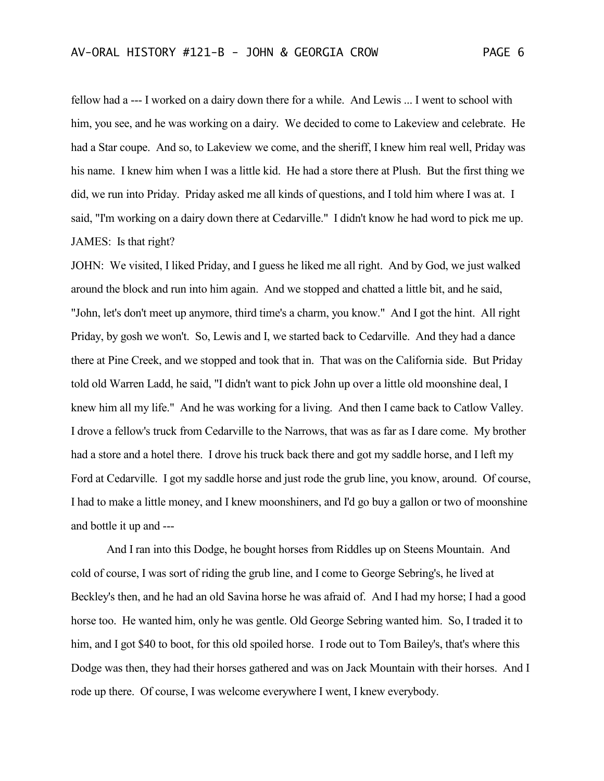fellow had a --- I worked on a dairy down there for a while. And Lewis ... I went to school with him, you see, and he was working on a dairy. We decided to come to Lakeview and celebrate. He had a Star coupe. And so, to Lakeview we come, and the sheriff, I knew him real well, Priday was his name. I knew him when I was a little kid. He had a store there at Plush. But the first thing we did, we run into Priday. Priday asked me all kinds of questions, and I told him where I was at. I said, "I'm working on a dairy down there at Cedarville." I didn't know he had word to pick me up. JAMES: Is that right?

JOHN: We visited, I liked Priday, and I guess he liked me all right. And by God, we just walked around the block and run into him again. And we stopped and chatted a little bit, and he said, "John, let's don't meet up anymore, third time's a charm, you know." And I got the hint. All right Priday, by gosh we won't. So, Lewis and I, we started back to Cedarville. And they had a dance there at Pine Creek, and we stopped and took that in. That was on the California side. But Priday told old Warren Ladd, he said, "I didn't want to pick John up over a little old moonshine deal, I knew him all my life." And he was working for a living. And then I came back to Catlow Valley. I drove a fellow's truck from Cedarville to the Narrows, that was as far as I dare come. My brother had a store and a hotel there. I drove his truck back there and got my saddle horse, and I left my Ford at Cedarville. I got my saddle horse and just rode the grub line, you know, around. Of course, I had to make a little money, and I knew moonshiners, and I'd go buy a gallon or two of moonshine and bottle it up and ---

And I ran into this Dodge, he bought horses from Riddles up on Steens Mountain. And cold of course, I was sort of riding the grub line, and I come to George Sebring's, he lived at Beckley's then, and he had an old Savina horse he was afraid of. And I had my horse; I had a good horse too. He wanted him, only he was gentle. Old George Sebring wanted him. So, I traded it to him, and I got \$40 to boot, for this old spoiled horse. I rode out to Tom Bailey's, that's where this Dodge was then, they had their horses gathered and was on Jack Mountain with their horses. And I rode up there. Of course, I was welcome everywhere I went, I knew everybody.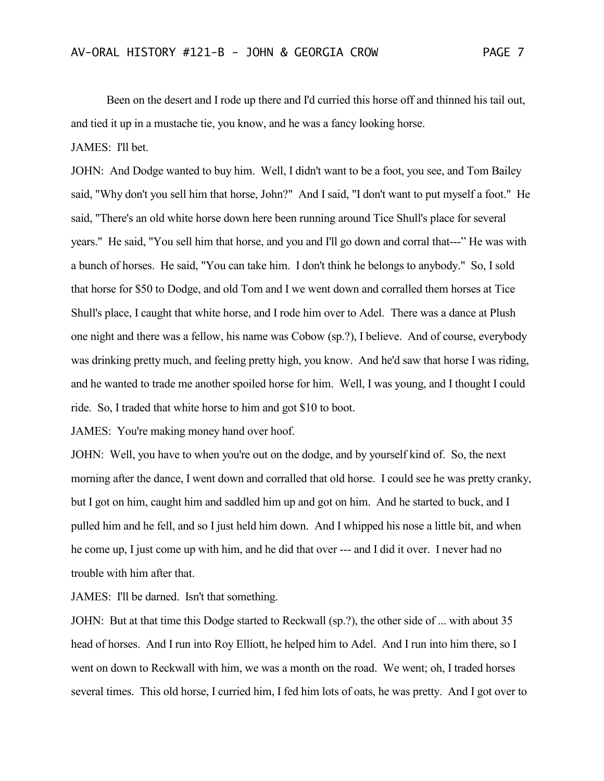Been on the desert and I rode up there and I'd curried this horse off and thinned his tail out, and tied it up in a mustache tie, you know, and he was a fancy looking horse.

JAMES: I'll bet.

JOHN: And Dodge wanted to buy him. Well, I didn't want to be a foot, you see, and Tom Bailey said, "Why don't you sell him that horse, John?" And I said, "I don't want to put myself a foot." He said, "There's an old white horse down here been running around Tice Shull's place for several years." He said, "You sell him that horse, and you and I'll go down and corral that---" He was with a bunch of horses. He said, "You can take him. I don't think he belongs to anybody." So, I sold that horse for \$50 to Dodge, and old Tom and I we went down and corralled them horses at Tice Shull's place, I caught that white horse, and I rode him over to Adel. There was a dance at Plush one night and there was a fellow, his name was Cobow (sp.?), I believe. And of course, everybody was drinking pretty much, and feeling pretty high, you know. And he'd saw that horse I was riding, and he wanted to trade me another spoiled horse for him. Well, I was young, and I thought I could ride. So, I traded that white horse to him and got \$10 to boot.

JAMES: You're making money hand over hoof.

JOHN: Well, you have to when you're out on the dodge, and by yourself kind of. So, the next morning after the dance, I went down and corralled that old horse. I could see he was pretty cranky, but I got on him, caught him and saddled him up and got on him. And he started to buck, and I pulled him and he fell, and so I just held him down. And I whipped his nose a little bit, and when he come up, I just come up with him, and he did that over --- and I did it over. I never had no trouble with him after that.

JAMES: I'll be darned. Isn't that something.

JOHN: But at that time this Dodge started to Reckwall (sp.?), the other side of ... with about 35 head of horses. And I run into Roy Elliott, he helped him to Adel. And I run into him there, so I went on down to Reckwall with him, we was a month on the road. We went; oh, I traded horses several times. This old horse, I curried him, I fed him lots of oats, he was pretty. And I got over to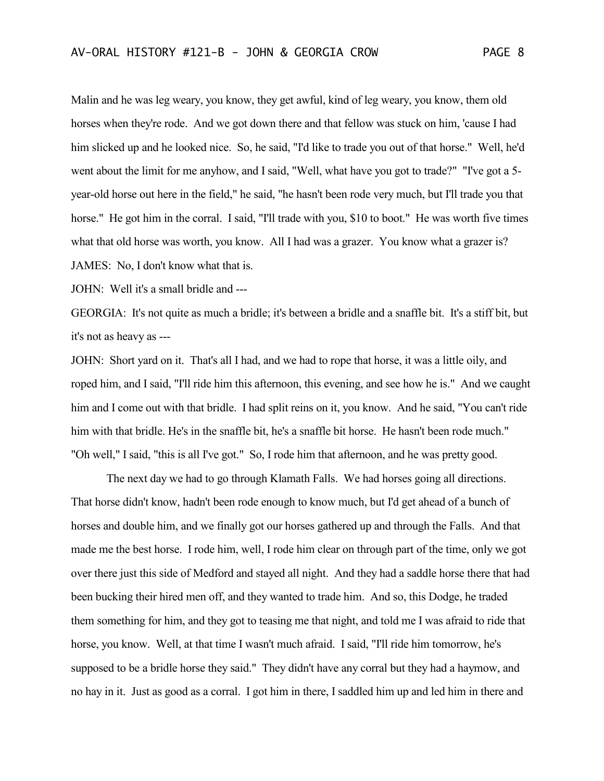Malin and he was leg weary, you know, they get awful, kind of leg weary, you know, them old horses when they're rode. And we got down there and that fellow was stuck on him, 'cause I had him slicked up and he looked nice. So, he said, "I'd like to trade you out of that horse." Well, he'd went about the limit for me anyhow, and I said, "Well, what have you got to trade?" "I've got a 5 year-old horse out here in the field," he said, "he hasn't been rode very much, but I'll trade you that horse." He got him in the corral. I said, "I'll trade with you, \$10 to boot." He was worth five times what that old horse was worth, you know. All I had was a grazer. You know what a grazer is? JAMES: No, I don't know what that is.

JOHN: Well it's a small bridle and ---

GEORGIA: It's not quite as much a bridle; it's between a bridle and a snaffle bit. It's a stiff bit, but it's not as heavy as ---

JOHN: Short yard on it. That's all I had, and we had to rope that horse, it was a little oily, and roped him, and I said, "I'll ride him this afternoon, this evening, and see how he is." And we caught him and I come out with that bridle. I had split reins on it, you know. And he said, "You can't ride him with that bridle. He's in the snaffle bit, he's a snaffle bit horse. He hasn't been rode much." "Oh well," I said, "this is all I've got." So, I rode him that afternoon, and he was pretty good.

The next day we had to go through Klamath Falls. We had horses going all directions. That horse didn't know, hadn't been rode enough to know much, but I'd get ahead of a bunch of horses and double him, and we finally got our horses gathered up and through the Falls. And that made me the best horse. I rode him, well, I rode him clear on through part of the time, only we got over there just this side of Medford and stayed all night. And they had a saddle horse there that had been bucking their hired men off, and they wanted to trade him. And so, this Dodge, he traded them something for him, and they got to teasing me that night, and told me I was afraid to ride that horse, you know. Well, at that time I wasn't much afraid. I said, "I'll ride him tomorrow, he's supposed to be a bridle horse they said." They didn't have any corral but they had a haymow, and no hay in it. Just as good as a corral. I got him in there, I saddled him up and led him in there and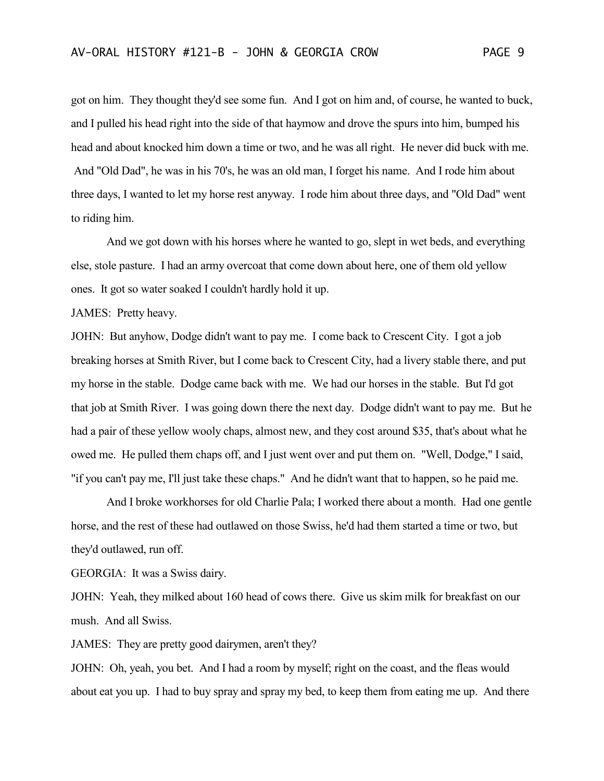got on him. They thought they'd see some fun. And I got on him and, of course, he wanted to buck, and I pulled his head right into the side of that haymow and drove the spurs into him, bumped his head and about knocked him down a time or two, and he was all right. He never did buck with me. And "Old Dad", he was in his 70's, he was an old man, I forget his name. And I rode him about three days, I wanted to let my horse rest anyway. I rode him about three days, and "Old Dad" went to riding him.

And we got down with his horses where he wanted to go, slept in wet beds, and everything else, stole pasture. I had an army overcoat that come down about here, one of them old yellow ones. It got so water soaked I couldn't hardly hold it up.

JAMES: Pretty heavy.

JOHN: But anyhow, Dodge didn't want to pay me. I come back to Crescent City. I got a job breaking horses at Smith River, but I come back to Crescent City, had a livery stable there, and put my horse in the stable. Dodge came back with me. We had our horses in the stable. But I'd got that job at Smith River. I was going down there the next day. Dodge didn't want to pay me. But he had a pair of these yellow wooly chaps, almost new, and they cost around \$35, that's about what he owed me. He pulled them chaps off, and I just went over and put them on. "Well, Dodge," I said, "if you can't pay me, I'll just take these chaps." And he didn't want that to happen, so he paid me.

And I broke workhorses for old Charlie Pala; I worked there about a month. Had one gentle horse, and the rest of these had outlawed on those Swiss, he'd had them started a time or two, but they'd outlawed, run off.

GEORGIA: It was a Swiss dairy.

JOHN: Yeah, they milked about 160 head of cows there. Give us skim milk for breakfast on our mush. And all Swiss.

JAMES: They are pretty good dairymen, aren't they?

JOHN: Oh, yeah, you bet. And I had a room by myself; right on the coast, and the fleas would about eat you up. I had to buy spray and spray my bed, to keep them from eating me up. And there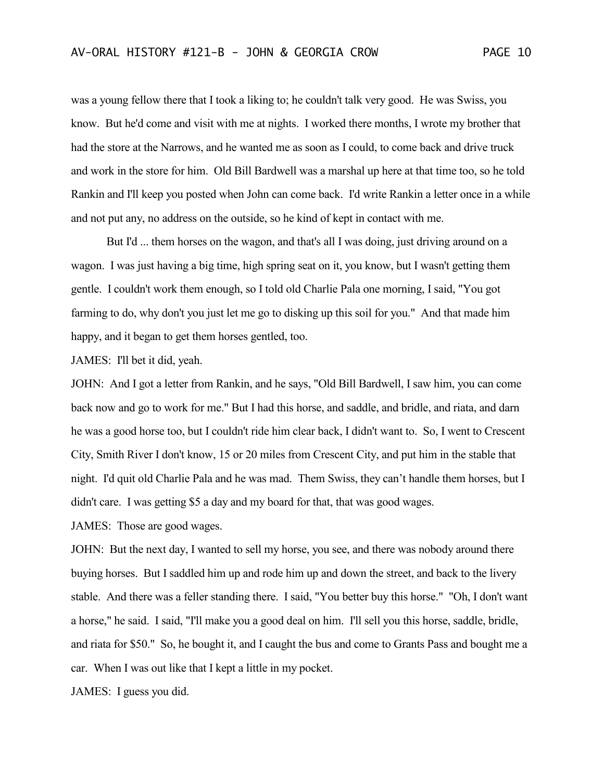was a young fellow there that I took a liking to; he couldn't talk very good. He was Swiss, you know. But he'd come and visit with me at nights. I worked there months, I wrote my brother that had the store at the Narrows, and he wanted me as soon as I could, to come back and drive truck and work in the store for him. Old Bill Bardwell was a marshal up here at that time too, so he told Rankin and I'll keep you posted when John can come back. I'd write Rankin a letter once in a while and not put any, no address on the outside, so he kind of kept in contact with me.

But I'd ... them horses on the wagon, and that's all I was doing, just driving around on a wagon. I was just having a big time, high spring seat on it, you know, but I wasn't getting them gentle. I couldn't work them enough, so I told old Charlie Pala one morning, I said, "You got farming to do, why don't you just let me go to disking up this soil for you." And that made him happy, and it began to get them horses gentled, too.

JAMES: I'll bet it did, yeah.

JOHN: And I got a letter from Rankin, and he says, "Old Bill Bardwell, I saw him, you can come back now and go to work for me." But I had this horse, and saddle, and bridle, and riata, and darn he was a good horse too, but I couldn't ride him clear back, I didn't want to. So, I went to Crescent City, Smith River I don't know, 15 or 20 miles from Crescent City, and put him in the stable that night. I'd quit old Charlie Pala and he was mad. Them Swiss, they can't handle them horses, but I didn't care. I was getting \$5 a day and my board for that, that was good wages.

JAMES: Those are good wages.

JOHN: But the next day, I wanted to sell my horse, you see, and there was nobody around there buying horses. But I saddled him up and rode him up and down the street, and back to the livery stable. And there was a feller standing there. I said, "You better buy this horse." "Oh, I don't want a horse," he said. I said, "I'll make you a good deal on him. I'll sell you this horse, saddle, bridle, and riata for \$50." So, he bought it, and I caught the bus and come to Grants Pass and bought me a car. When I was out like that I kept a little in my pocket.

JAMES: I guess you did.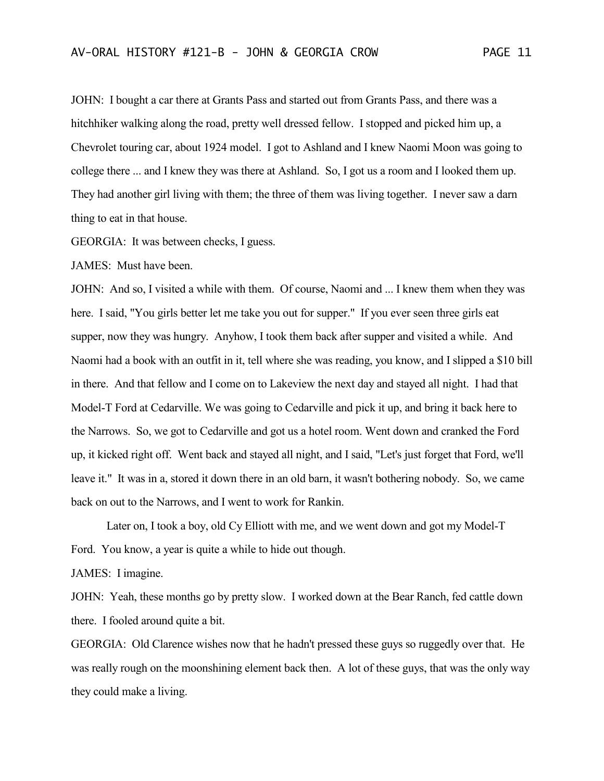JOHN: I bought a car there at Grants Pass and started out from Grants Pass, and there was a hitchhiker walking along the road, pretty well dressed fellow. I stopped and picked him up, a Chevrolet touring car, about 1924 model. I got to Ashland and I knew Naomi Moon was going to college there ... and I knew they was there at Ashland. So, I got us a room and I looked them up. They had another girl living with them; the three of them was living together. I never saw a darn thing to eat in that house.

GEORGIA: It was between checks, I guess.

JAMES: Must have been.

JOHN: And so, I visited a while with them. Of course, Naomi and ... I knew them when they was here. I said, "You girls better let me take you out for supper." If you ever seen three girls eat supper, now they was hungry. Anyhow, I took them back after supper and visited a while. And Naomi had a book with an outfit in it, tell where she was reading, you know, and I slipped a \$10 bill in there. And that fellow and I come on to Lakeview the next day and stayed all night. I had that Model-T Ford at Cedarville. We was going to Cedarville and pick it up, and bring it back here to the Narrows. So, we got to Cedarville and got us a hotel room. Went down and cranked the Ford up, it kicked right off. Went back and stayed all night, and I said, "Let's just forget that Ford, we'll leave it." It was in a, stored it down there in an old barn, it wasn't bothering nobody. So, we came back on out to the Narrows, and I went to work for Rankin.

Later on, I took a boy, old Cy Elliott with me, and we went down and got my Model-T Ford. You know, a year is quite a while to hide out though.

JAMES: I imagine.

JOHN: Yeah, these months go by pretty slow. I worked down at the Bear Ranch, fed cattle down there. I fooled around quite a bit.

GEORGIA: Old Clarence wishes now that he hadn't pressed these guys so ruggedly over that. He was really rough on the moonshining element back then. A lot of these guys, that was the only way they could make a living.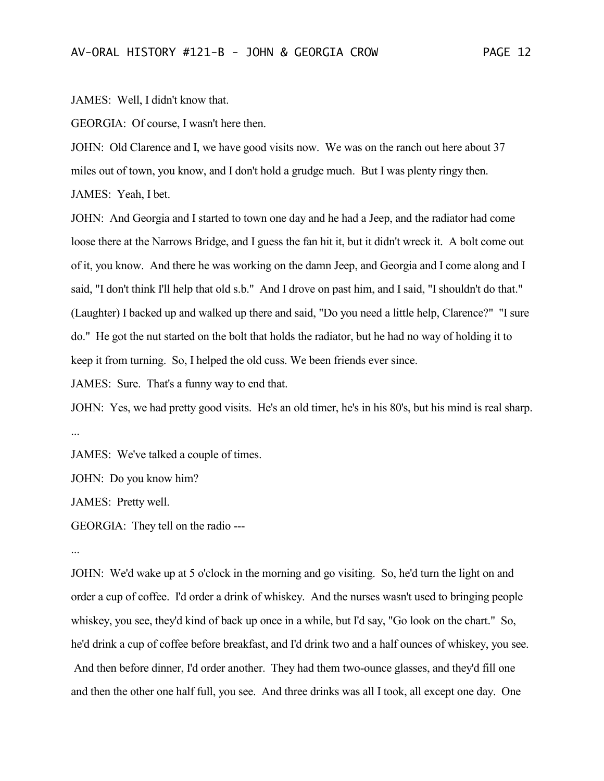JAMES: Well, I didn't know that.

GEORGIA: Of course, I wasn't here then.

JOHN: Old Clarence and I, we have good visits now. We was on the ranch out here about 37 miles out of town, you know, and I don't hold a grudge much. But I was plenty ringy then.

JAMES: Yeah, I bet.

JOHN: And Georgia and I started to town one day and he had a Jeep, and the radiator had come loose there at the Narrows Bridge, and I guess the fan hit it, but it didn't wreck it. A bolt come out of it, you know. And there he was working on the damn Jeep, and Georgia and I come along and I said, "I don't think I'll help that old s.b." And I drove on past him, and I said, "I shouldn't do that." (Laughter) I backed up and walked up there and said, "Do you need a little help, Clarence?" "I sure do." He got the nut started on the bolt that holds the radiator, but he had no way of holding it to keep it from turning. So, I helped the old cuss. We been friends ever since.

JAMES: Sure. That's a funny way to end that.

JOHN: Yes, we had pretty good visits. He's an old timer, he's in his 80's, but his mind is real sharp. ...

JAMES: We've talked a couple of times.

JOHN: Do you know him?

JAMES: Pretty well.

GEORGIA: They tell on the radio ---

...

JOHN: We'd wake up at 5 o'clock in the morning and go visiting. So, he'd turn the light on and order a cup of coffee. I'd order a drink of whiskey. And the nurses wasn't used to bringing people whiskey, you see, they'd kind of back up once in a while, but I'd say, "Go look on the chart." So, he'd drink a cup of coffee before breakfast, and I'd drink two and a half ounces of whiskey, you see. And then before dinner, I'd order another. They had them two-ounce glasses, and they'd fill one and then the other one half full, you see. And three drinks was all I took, all except one day. One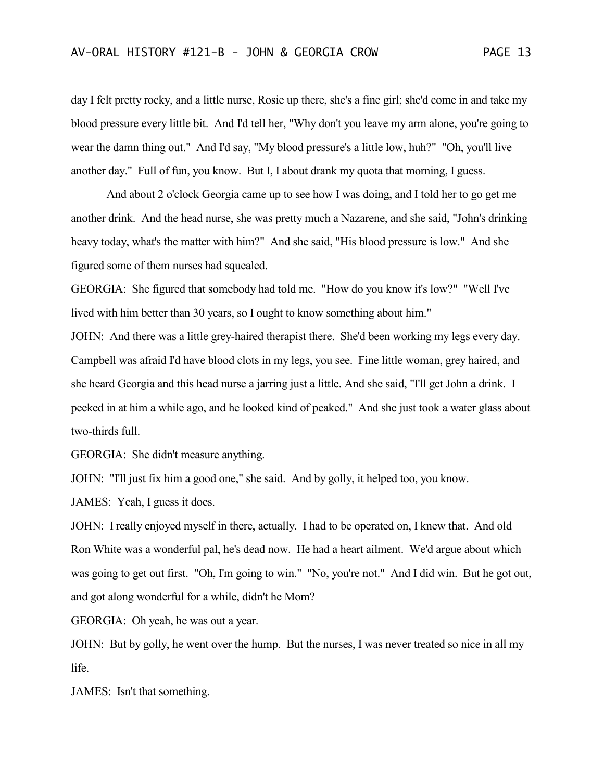day I felt pretty rocky, and a little nurse, Rosie up there, she's a fine girl; she'd come in and take my blood pressure every little bit. And I'd tell her, "Why don't you leave my arm alone, you're going to wear the damn thing out." And I'd say, "My blood pressure's a little low, huh?" "Oh, you'll live another day." Full of fun, you know. But I, I about drank my quota that morning, I guess.

And about 2 o'clock Georgia came up to see how I was doing, and I told her to go get me another drink. And the head nurse, she was pretty much a Nazarene, and she said, "John's drinking heavy today, what's the matter with him?" And she said, "His blood pressure is low." And she figured some of them nurses had squealed.

GEORGIA: She figured that somebody had told me. "How do you know it's low?" "Well I've lived with him better than 30 years, so I ought to know something about him."

JOHN: And there was a little grey-haired therapist there. She'd been working my legs every day. Campbell was afraid I'd have blood clots in my legs, you see. Fine little woman, grey haired, and she heard Georgia and this head nurse a jarring just a little. And she said, "I'll get John a drink. I peeked in at him a while ago, and he looked kind of peaked." And she just took a water glass about two-thirds full.

GEORGIA: She didn't measure anything.

JOHN: "I'll just fix him a good one," she said. And by golly, it helped too, you know.

JAMES: Yeah, I guess it does.

JOHN: I really enjoyed myself in there, actually. I had to be operated on, I knew that. And old Ron White was a wonderful pal, he's dead now. He had a heart ailment. We'd argue about which was going to get out first. "Oh, I'm going to win." "No, you're not." And I did win. But he got out, and got along wonderful for a while, didn't he Mom?

GEORGIA: Oh yeah, he was out a year.

JOHN: But by golly, he went over the hump. But the nurses, I was never treated so nice in all my life.

JAMES: Isn't that something.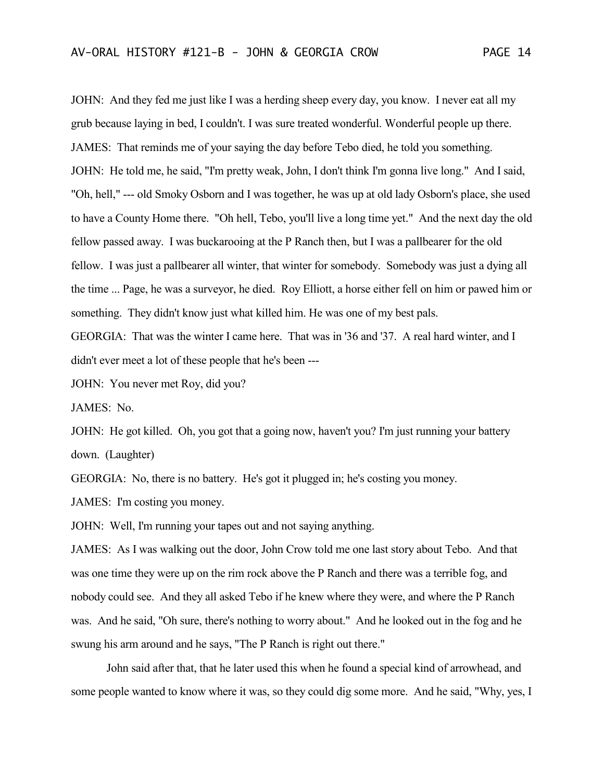JOHN: And they fed me just like I was a herding sheep every day, you know. I never eat all my grub because laying in bed, I couldn't. I was sure treated wonderful. Wonderful people up there. JAMES: That reminds me of your saying the day before Tebo died, he told you something. JOHN: He told me, he said, "I'm pretty weak, John, I don't think I'm gonna live long." And I said, "Oh, hell," --- old Smoky Osborn and I was together, he was up at old lady Osborn's place, she used to have a County Home there. "Oh hell, Tebo, you'll live a long time yet." And the next day the old fellow passed away. I was buckarooing at the P Ranch then, but I was a pallbearer for the old fellow. I was just a pallbearer all winter, that winter for somebody. Somebody was just a dying all the time ... Page, he was a surveyor, he died. Roy Elliott, a horse either fell on him or pawed him or something. They didn't know just what killed him. He was one of my best pals.

GEORGIA: That was the winter I came here. That was in '36 and '37. A real hard winter, and I didn't ever meet a lot of these people that he's been ---

JOHN: You never met Roy, did you?

JAMES: No.

JOHN: He got killed. Oh, you got that a going now, haven't you? I'm just running your battery down. (Laughter)

GEORGIA: No, there is no battery. He's got it plugged in; he's costing you money.

JAMES: I'm costing you money.

JOHN: Well, I'm running your tapes out and not saying anything.

JAMES: As I was walking out the door, John Crow told me one last story about Tebo. And that was one time they were up on the rim rock above the P Ranch and there was a terrible fog, and nobody could see. And they all asked Tebo if he knew where they were, and where the P Ranch was. And he said, "Oh sure, there's nothing to worry about." And he looked out in the fog and he swung his arm around and he says, "The P Ranch is right out there."

John said after that, that he later used this when he found a special kind of arrowhead, and some people wanted to know where it was, so they could dig some more. And he said, "Why, yes, I